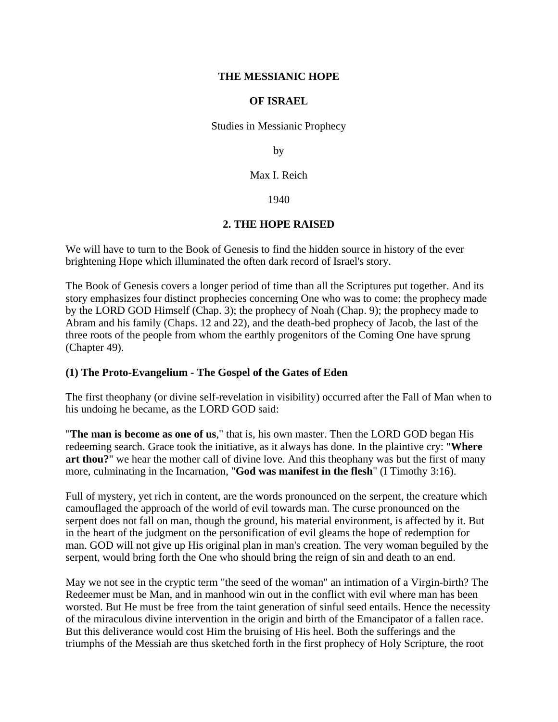#### **THE MESSIANIC HOPE**

#### **OF ISRAEL**

Studies in Messianic Prophecy

by

Max I. Reich

1940

## **2. THE HOPE RAISED**

We will have to turn to the Book of Genesis to find the hidden source in history of the ever brightening Hope which illuminated the often dark record of Israel's story.

The Book of Genesis covers a longer period of time than all the Scriptures put together. And its story emphasizes four distinct prophecies concerning One who was to come: the prophecy made by the LORD GOD Himself (Chap. 3); the prophecy of Noah (Chap. 9); the prophecy made to Abram and his family (Chaps. 12 and 22), and the death-bed prophecy of Jacob, the last of the three roots of the people from whom the earthly progenitors of the Coming One have sprung (Chapter 49).

## **(1) The Proto-Evangelium - The Gospel of the Gates of Eden**

The first theophany (or divine self-revelation in visibility) occurred after the Fall of Man when to his undoing he became, as the LORD GOD said:

"**The man is become as one of us**," that is, his own master. Then the LORD GOD began His redeeming search. Grace took the initiative, as it always has done. In the plaintive cry: "**Where art thou?**" we hear the mother call of divine love. And this theophany was but the first of many more, culminating in the Incarnation, "**God was manifest in the flesh**" (I Timothy 3:16).

Full of mystery, yet rich in content, are the words pronounced on the serpent, the creature which camouflaged the approach of the world of evil towards man. The curse pronounced on the serpent does not fall on man, though the ground, his material environment, is affected by it. But in the heart of the judgment on the personification of evil gleams the hope of redemption for man. GOD will not give up His original plan in man's creation. The very woman beguiled by the serpent, would bring forth the One who should bring the reign of sin and death to an end.

May we not see in the cryptic term "the seed of the woman" an intimation of a Virgin-birth? The Redeemer must be Man, and in manhood win out in the conflict with evil where man has been worsted. But He must be free from the taint generation of sinful seed entails. Hence the necessity of the miraculous divine intervention in the origin and birth of the Emancipator of a fallen race. But this deliverance would cost Him the bruising of His heel. Both the sufferings and the triumphs of the Messiah are thus sketched forth in the first prophecy of Holy Scripture, the root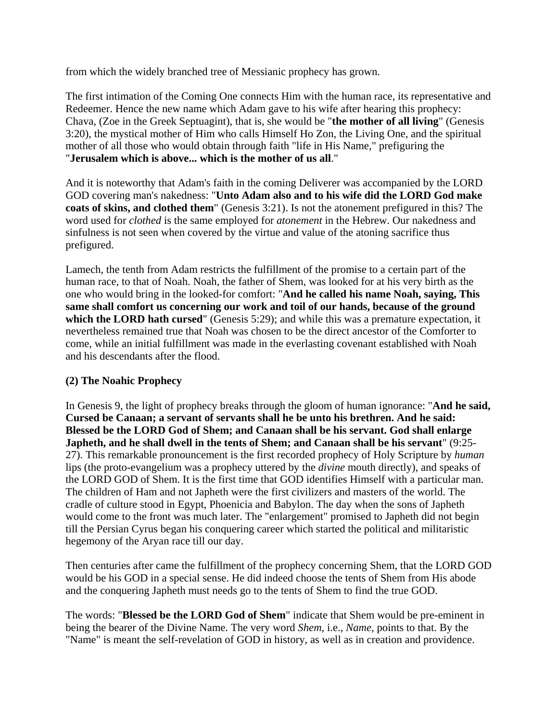from which the widely branched tree of Messianic prophecy has grown.

The first intimation of the Coming One connects Him with the human race, its representative and Redeemer. Hence the new name which Adam gave to his wife after hearing this prophecy: Chava, (Zoe in the Greek Septuagint), that is, she would be "**the mother of all living**" (Genesis 3:20), the mystical mother of Him who calls Himself Ho Zon, the Living One, and the spiritual mother of all those who would obtain through faith "life in His Name," prefiguring the "**Jerusalem which is above... which is the mother of us all**."

And it is noteworthy that Adam's faith in the coming Deliverer was accompanied by the LORD GOD covering man's nakedness: "**Unto Adam also and to his wife did the LORD God make coats of skins, and clothed them**" (Genesis 3:21). Is not the atonement prefigured in this? The word used for *clothed* is the same employed for *atonement* in the Hebrew. Our nakedness and sinfulness is not seen when covered by the virtue and value of the atoning sacrifice thus prefigured.

Lamech, the tenth from Adam restricts the fulfillment of the promise to a certain part of the human race, to that of Noah. Noah, the father of Shem, was looked for at his very birth as the one who would bring in the looked-for comfort: "**And he called his name Noah, saying, This same shall comfort us concerning our work and toil of our hands, because of the ground**  which the **LORD** hath cursed" (Genesis 5:29); and while this was a premature expectation, it nevertheless remained true that Noah was chosen to be the direct ancestor of the Comforter to come, while an initial fulfillment was made in the everlasting covenant established with Noah and his descendants after the flood.

# **(2) The Noahic Prophecy**

In Genesis 9, the light of prophecy breaks through the gloom of human ignorance: "**And he said, Cursed be Canaan; a servant of servants shall he be unto his brethren. And he said: Blessed be the LORD God of Shem; and Canaan shall be his servant. God shall enlarge Japheth, and he shall dwell in the tents of Shem; and Canaan shall be his servant**" (9:25- 27). This remarkable pronouncement is the first recorded prophecy of Holy Scripture by *human* lips (the proto-evangelium was a prophecy uttered by the *divine* mouth directly), and speaks of the LORD GOD of Shem. It is the first time that GOD identifies Himself with a particular man. The children of Ham and not Japheth were the first civilizers and masters of the world. The cradle of culture stood in Egypt, Phoenicia and Babylon. The day when the sons of Japheth would come to the front was much later. The "enlargement" promised to Japheth did not begin till the Persian Cyrus began his conquering career which started the political and militaristic hegemony of the Aryan race till our day.

Then centuries after came the fulfillment of the prophecy concerning Shem, that the LORD GOD would be his GOD in a special sense. He did indeed choose the tents of Shem from His abode and the conquering Japheth must needs go to the tents of Shem to find the true GOD.

The words: "**Blessed be the LORD God of Shem**" indicate that Shem would be pre-eminent in being the bearer of the Divine Name. The very word *Shem*, i.e., *Name*, points to that. By the "Name" is meant the self-revelation of GOD in history, as well as in creation and providence.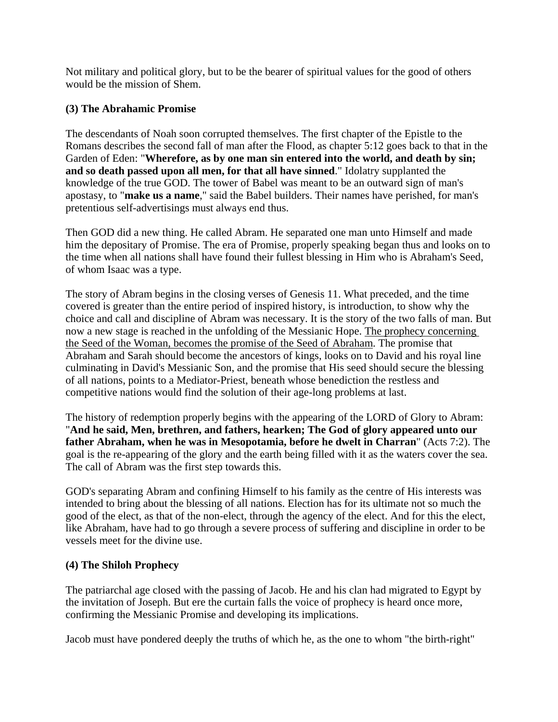Not military and political glory, but to be the bearer of spiritual values for the good of others would be the mission of Shem.

## **(3) The Abrahamic Promise**

The descendants of Noah soon corrupted themselves. The first chapter of the Epistle to the Romans describes the second fall of man after the Flood, as chapter 5:12 goes back to that in the Garden of Eden: "**Wherefore, as by one man sin entered into the world, and death by sin; and so death passed upon all men, for that all have sinned**." Idolatry supplanted the knowledge of the true GOD. The tower of Babel was meant to be an outward sign of man's apostasy, to "**make us a name**," said the Babel builders. Their names have perished, for man's pretentious self-advertisings must always end thus.

Then GOD did a new thing. He called Abram. He separated one man unto Himself and made him the depositary of Promise. The era of Promise, properly speaking began thus and looks on to the time when all nations shall have found their fullest blessing in Him who is Abraham's Seed, of whom Isaac was a type.

The story of Abram begins in the closing verses of Genesis 11. What preceded, and the time covered is greater than the entire period of inspired history, is introduction, to show why the choice and call and discipline of Abram was necessary. It is the story of the two falls of man. But now a new stage is reached in the unfolding of the Messianic Hope. The prophecy concerning the Seed of the Woman, becomes the promise of the Seed of Abraham. The promise that Abraham and Sarah should become the ancestors of kings, looks on to David and his royal line culminating in David's Messianic Son, and the promise that His seed should secure the blessing of all nations, points to a Mediator-Priest, beneath whose benediction the restless and competitive nations would find the solution of their age-long problems at last.

The history of redemption properly begins with the appearing of the LORD of Glory to Abram: "**And he said, Men, brethren, and fathers, hearken; The God of glory appeared unto our father Abraham, when he was in Mesopotamia, before he dwelt in Charran**" (Acts 7:2). The goal is the re-appearing of the glory and the earth being filled with it as the waters cover the sea. The call of Abram was the first step towards this.

GOD's separating Abram and confining Himself to his family as the centre of His interests was intended to bring about the blessing of all nations. Election has for its ultimate not so much the good of the elect, as that of the non-elect, through the agency of the elect. And for this the elect, like Abraham, have had to go through a severe process of suffering and discipline in order to be vessels meet for the divine use.

## **(4) The Shiloh Prophecy**

The patriarchal age closed with the passing of Jacob. He and his clan had migrated to Egypt by the invitation of Joseph. But ere the curtain falls the voice of prophecy is heard once more, confirming the Messianic Promise and developing its implications.

Jacob must have pondered deeply the truths of which he, as the one to whom "the birth-right"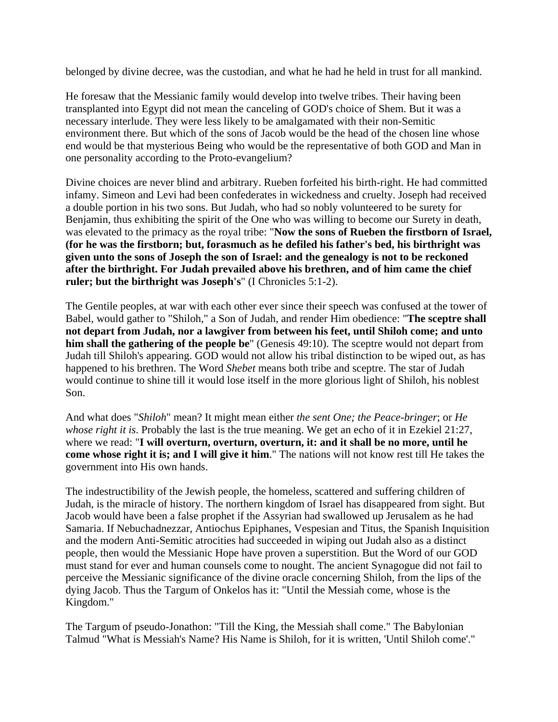belonged by divine decree, was the custodian, and what he had he held in trust for all mankind.

He foresaw that the Messianic family would develop into twelve tribes. Their having been transplanted into Egypt did not mean the canceling of GOD's choice of Shem. But it was a necessary interlude. They were less likely to be amalgamated with their non-Semitic environment there. But which of the sons of Jacob would be the head of the chosen line whose end would be that mysterious Being who would be the representative of both GOD and Man in one personality according to the Proto-evangelium?

Divine choices are never blind and arbitrary. Rueben forfeited his birth-right. He had committed infamy. Simeon and Levi had been confederates in wickedness and cruelty. Joseph had received a double portion in his two sons. But Judah, who had so nobly volunteered to be surety for Benjamin, thus exhibiting the spirit of the One who was willing to become our Surety in death, was elevated to the primacy as the royal tribe: "**Now the sons of Rueben the firstborn of Israel, (for he was the firstborn; but, forasmuch as he defiled his father's bed, his birthright was given unto the sons of Joseph the son of Israel: and the genealogy is not to be reckoned after the birthright. For Judah prevailed above his brethren, and of him came the chief ruler; but the birthright was Joseph's**" (I Chronicles 5:1-2).

The Gentile peoples, at war with each other ever since their speech was confused at the tower of Babel, would gather to "Shiloh," a Son of Judah, and render Him obedience: "**The sceptre shall not depart from Judah, nor a lawgiver from between his feet, until Shiloh come; and unto him shall the gathering of the people be**" (Genesis 49:10). The sceptre would not depart from Judah till Shiloh's appearing. GOD would not allow his tribal distinction to be wiped out, as has happened to his brethren. The Word *Shebet* means both tribe and sceptre. The star of Judah would continue to shine till it would lose itself in the more glorious light of Shiloh, his noblest Son.

And what does "*Shiloh*" mean? It might mean either *the sent One; the Peace-bringer*; or *He whose right it is*. Probably the last is the true meaning. We get an echo of it in Ezekiel 21:27, where we read: "**I will overturn, overturn, overturn, it: and it shall be no more, until he come whose right it is; and I will give it him**." The nations will not know rest till He takes the government into His own hands.

The indestructibility of the Jewish people, the homeless, scattered and suffering children of Judah, is the miracle of history. The northern kingdom of Israel has disappeared from sight. But Jacob would have been a false prophet if the Assyrian had swallowed up Jerusalem as he had Samaria. If Nebuchadnezzar, Antiochus Epiphanes, Vespesian and Titus, the Spanish Inquisition and the modern Anti-Semitic atrocities had succeeded in wiping out Judah also as a distinct people, then would the Messianic Hope have proven a superstition. But the Word of our GOD must stand for ever and human counsels come to nought. The ancient Synagogue did not fail to perceive the Messianic significance of the divine oracle concerning Shiloh, from the lips of the dying Jacob. Thus the Targum of Onkelos has it: "Until the Messiah come, whose is the Kingdom."

The Targum of pseudo-Jonathon: "Till the King, the Messiah shall come." The Babylonian Talmud "What is Messiah's Name? His Name is Shiloh, for it is written, 'Until Shiloh come'."